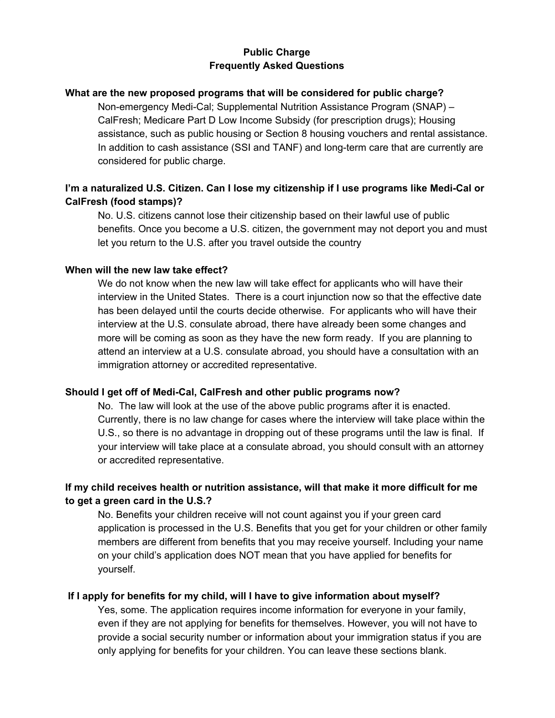### **Public Charge Frequently Asked Questions**

#### **What are the new proposed programs that will be considered for public charge?**

Non-emergency Medi-Cal; Supplemental Nutrition Assistance Program (SNAP) – CalFresh; Medicare Part D Low Income Subsidy (for prescription drugs); Housing assistance, such as public housing or Section 8 housing vouchers and rental assistance. In addition to cash assistance (SSI and TANF) and long-term care that are currently are considered for public charge.

# **I'm a naturalized U.S. Citizen. Can I lose my citizenship if I use programs like Medi-Cal or CalFresh (food stamps)?**

No. U.S. citizens cannot lose their citizenship based on their lawful use of public benefits. Once you become a U.S. citizen, the government may not deport you and must let you return to the U.S. after you travel outside the country

#### **When will the new law take effect?**

We do not know when the new law will take effect for applicants who will have their interview in the United States. There is a court injunction now so that the effective date has been delayed until the courts decide otherwise. For applicants who will have their interview at the U.S. consulate abroad, there have already been some changes and more will be coming as soon as they have the new form ready. If you are planning to attend an interview at a U.S. consulate abroad, you should have a consultation with an immigration attorney or accredited representative.

### **Should I get off of Medi-Cal, CalFresh and other public programs now?**

No. The law will look at the use of the above public programs after it is enacted. Currently, there is no law change for cases where the interview will take place within the U.S., so there is no advantage in dropping out of these programs until the law is final. If your interview will take place at a consulate abroad, you should consult with an attorney or accredited representative.

### **If my child receives health or nutrition assistance, will that make it more difficult for me to get a green card in the U.S.?**

No. Benefits your children receive will not count against you if your green card application is processed in the U.S. Benefits that you get for your children or other family members are different from benefits that you may receive yourself. Including your name on your child's application does NOT mean that you have applied for benefits for yourself.

### **If I apply for benefits for my child, will I have to give information about myself?**

Yes, some. The application requires income information for everyone in your family, even if they are not applying for benefits for themselves. However, you will not have to provide a social security number or information about your immigration status if you are only applying for benefits for your children. You can leave these sections blank.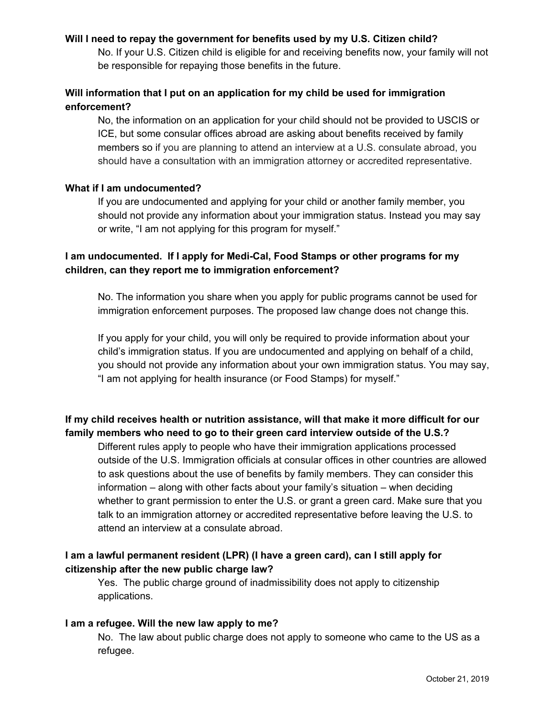#### **Will I need to repay the government for benefits used by my U.S. Citizen child?**

No. If your U.S. Citizen child is eligible for and receiving benefits now, your family will not be responsible for repaying those benefits in the future.

## **Will information that I put on an application for my child be used for immigration enforcement?**

No, the information on an application for your child should not be provided to USCIS or ICE, but some consular offices abroad are asking about benefits received by family members so if you are planning to attend an interview at a U.S. consulate abroad, you should have a consultation with an immigration attorney or accredited representative.

#### **What if I am undocumented?**

If you are undocumented and applying for your child or another family member, you should not provide any information about your immigration status. Instead you may say or write, "I am not applying for this program for myself."

### **I am undocumented. If I apply for Medi-Cal, Food Stamps or other programs for my children, can they report me to immigration enforcement?**

No. The information you share when you apply for public programs cannot be used for immigration enforcement purposes. The proposed law change does not change this.

If you apply for your child, you will only be required to provide information about your child's immigration status. If you are undocumented and applying on behalf of a child, you should not provide any information about your own immigration status. You may say, "I am not applying for health insurance (or Food Stamps) for myself."

# **If my child receives health or nutrition assistance, will that make it more difficult for our family members who need to go to their green card interview outside of the U.S.?**

Different rules apply to people who have their immigration applications processed outside of the U.S. Immigration officials at consular offices in other countries are allowed to ask questions about the use of benefits by family members. They can consider this information – along with other facts about your family's situation – when deciding whether to grant permission to enter the U.S. or grant a green card. Make sure that you talk to an immigration attorney or accredited representative before leaving the U.S. to attend an interview at a consulate abroad.

# **I am a lawful permanent resident (LPR) (I have a green card), can I still apply for citizenship after the new public charge law?**

Yes. The public charge ground of inadmissibility does not apply to citizenship applications.

### **I am a refugee. Will the new law apply to me?**

No. The law about public charge does not apply to someone who came to the US as a refugee.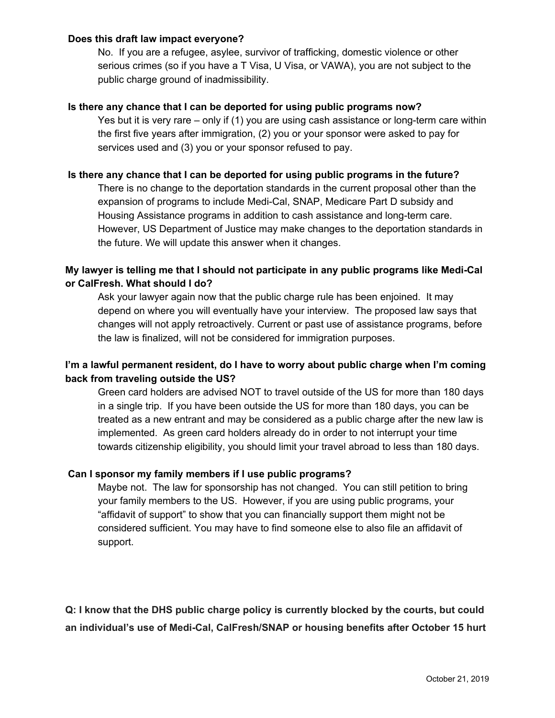#### **Does this draft law impact everyone?**

No. If you are a refugee, asylee, survivor of trafficking, domestic violence or other serious crimes (so if you have a T Visa, U Visa, or VAWA), you are not subject to the public charge ground of inadmissibility.

#### **Is there any chance that I can be deported for using public programs now?**

Yes but it is very rare – only if (1) you are using cash assistance or long-term care within the first five years after immigration, (2) you or your sponsor were asked to pay for services used and (3) you or your sponsor refused to pay.

#### **Is there any chance that I can be deported for using public programs in the future?**

There is no change to the deportation standards in the current proposal other than the expansion of programs to include Medi-Cal, SNAP, Medicare Part D subsidy and Housing Assistance programs in addition to cash assistance and long-term care. However, US Department of Justice may make changes to the deportation standards in the future. We will update this answer when it changes.

### **My lawyer is telling me that I should not participate in any public programs like Medi-Cal or CalFresh. What should I do?**

Ask your lawyer again now that the public charge rule has been enjoined. It may depend on where you will eventually have your interview. The proposed law says that changes will not apply retroactively. Current or past use of assistance programs, before the law is finalized, will not be considered for immigration purposes.

# **I'm a lawful permanent resident, do I have to worry about public charge when I'm coming back from traveling outside the US?**

Green card holders are advised NOT to travel outside of the US for more than 180 days in a single trip. If you have been outside the US for more than 180 days, you can be treated as a new entrant and may be considered as a public charge after the new law is implemented. As green card holders already do in order to not interrupt your time towards citizenship eligibility, you should limit your travel abroad to less than 180 days.

### **Can I sponsor my family members if I use public programs?**

Maybe not. The law for sponsorship has not changed. You can still petition to bring your family members to the US. However, if you are using public programs, your "affidavit of support" to show that you can financially support them might not be considered sufficient. You may have to find someone else to also file an affidavit of support.

**Q: I know that the DHS public charge policy is currently blocked by the courts, but could an individual's use of Medi-Cal, CalFresh/SNAP or housing benefits after October 15 hurt**